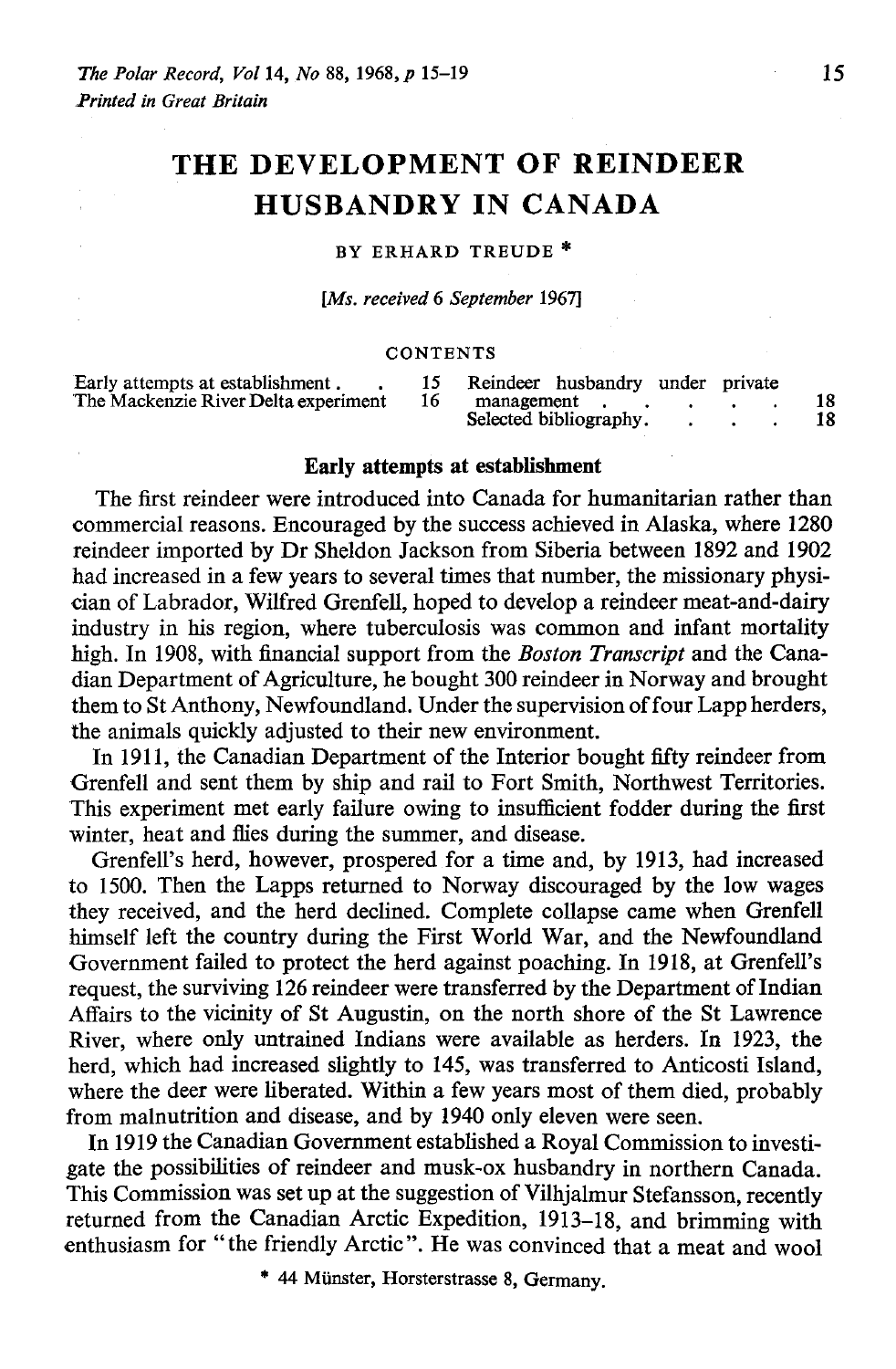# **THE DEVELOPMENT OF REINDEER HUSBANDRY IN CANADA**

#### BY ERHARD TREUDE \*

*[Ms. received* 6 *September 1967]* 

#### **CONTENTS**

| Early attempts at establishment.     |  | Reindeer husbandry under private |    |
|--------------------------------------|--|----------------------------------|----|
| The Mackenzie River Delta experiment |  | management                       |    |
|                                      |  | Selected bibliography.           | 18 |

#### **Early attempts at establishment**

The first reindeer were introduced into Canada for humanitarian rather than commercial reasons. Encouraged by the success achieved in Alaska, where 1280 reindeer imported by Dr Sheldon Jackson from Siberia between 1892 and 1902 had increased in a few years to several times that number, the missionary physician of Labrador, Wilfred Grenfell, hoped to develop a reindeer meat-and-dairy industry in his region, where tuberculosis was common and infant mortality high. In 1908, with financial support from the *Boston Transcript* and the Canadian Department of Agriculture, he bought 300 reindeer in Norway and brought them to St Anthony, Newfoundland. Under the supervision of four Lapp herders, the animals quickly adjusted to their new environment.

In 1911, the Canadian Department of the Interior bought fifty reindeer from Grenfell and sent them by ship and rail to Fort Smith, Northwest Territories. This experiment met early failure owing to insufficient fodder during the first winter, heat and flies during the summer, and disease.

Grenfell's herd, however, prospered for a time and, by 1913, had increased to 1500. Then the Lapps returned to Norway discouraged by the low wages they received, and the herd declined. Complete collapse came when Grenfell himself left the country during the First World War, and the Newfoundland Government failed to protect the herd against poaching. In 1918, at Grenfell's request, the surviving 126 reindeer were transferred by the Department of Indian Affairs to the vicinity of St Augustin, on the north shore of the St Lawrence River, where only untrained Indians were available as herders. In 1923, the herd, which had increased slightly to 145, was transferred to Anticosti Island, where the deer were liberated. Within a few years most of them died, probably from malnutrition and disease, and by 1940 only eleven were seen.

In 1919 the Canadian Government established a Royal Commission to investigate the possibilities of reindeer and musk-ox husbandry in northern Canada. This Commission was set up at the suggestion of Vilhjalmur Stefansson, recently returned from the Canadian Arctic Expedition, 1913-18, and brimming with enthusiasm for "the friendly Arctic". He was convinced that a meat and wool

<sup>\* 44</sup> Münster, Horsterstrasse 8, Germany.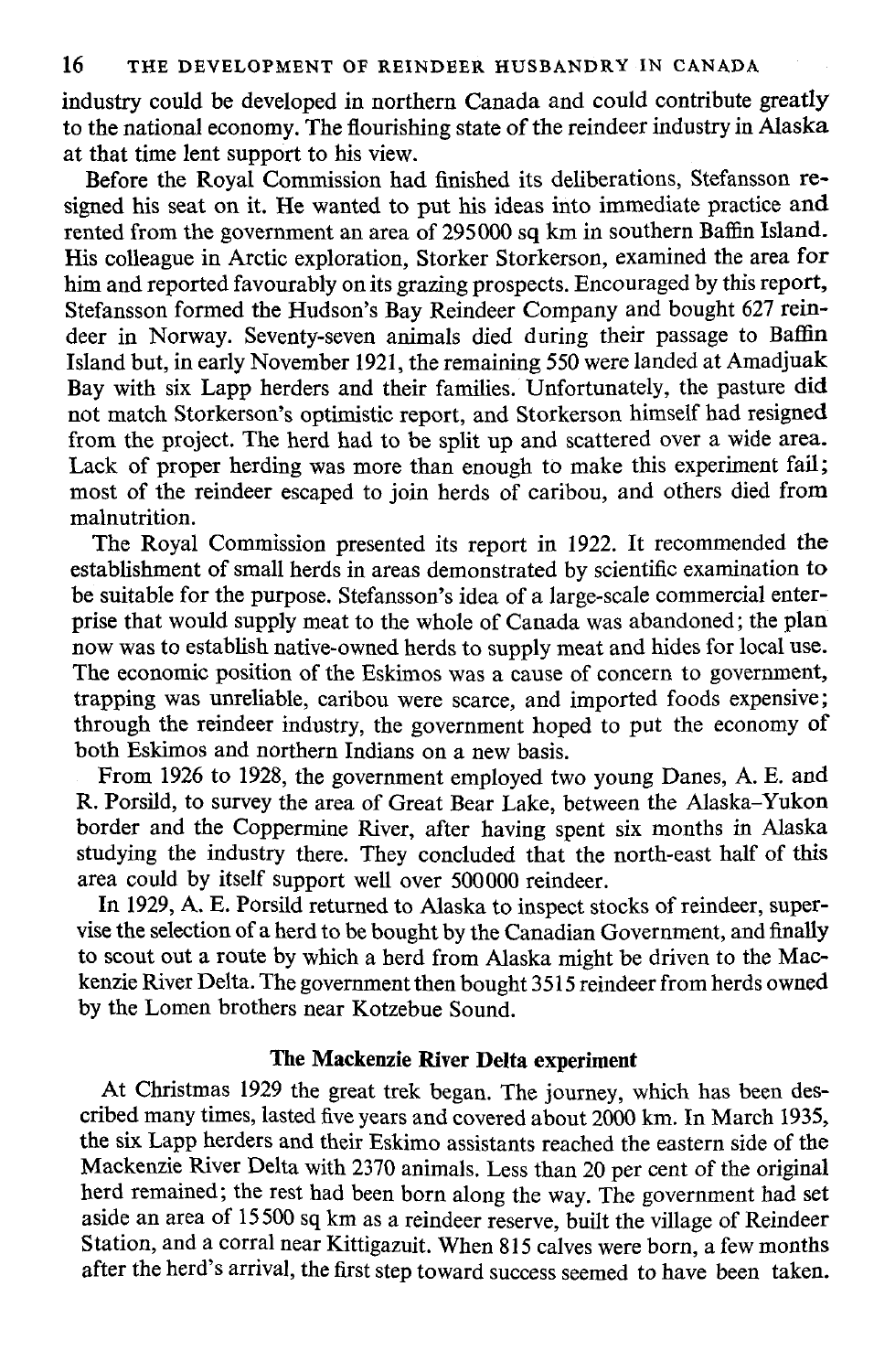industry could be developed in northern Canada and could contribute greatly to the national economy. The flourishing state of the reindeer industry in Alaska at that time lent support to his view.

Before the Royal Commission had finished its deliberations, Stefansson resigned his seat on it. He wanted to put his ideas into immediate practice and rented from the government an area of 295000 sq km in southern Baffin Island. His colleague in Arctic exploration, Storker Storkerson, examined the area for him and reported favourably on its grazing prospects. Encouraged by this report. Stefansson formed the Hudson's Bay Reindeer Company and bought 627 reindeer in Norway. Seventy-seven animals died during their passage to Baffin Island but, in early November 1921, the remaining 550 were landed at Amadjuak Bay with six Lapp herders and their families. Unfortunately, the pasture did not match Storkerson's optimistic report, and Storkerson himself had resigned from the project. The herd had to be split up and scattered over a wide area. Lack of proper herding was more than enough to make this experiment fail; most of the reindeer escaped to join herds of caribou, and others died from malnutrition.

Tbe Royal Commission presented its report in 1922. It recommended the establishment of small herds in areas demonstrated by scientific examination to be suitable for the purpose. Stefansson's idea of a large-scale commercial enterprise that would supply meat to the whole of Canada was abandoned; the plan now was to establish native-owned herds to supply meat and hides for local use. The economic position of the Eskimos was a cause of concern to government. trapping was unreliable, caribou were scarce, and imported foods expensive; through the reindeer industry, the government hoped to put the economy of both Eskimos and northern Indians on a new basis.

From 1926 to 1928, the government employed two young Danes, A. E. and R. Porsild, to survey the area of Great Bear Lake, between the Alaska-Yukon border and the Coppermine River, after having spent six months in Alaska studying the industry there. They concluded that the north-east half of this area could by itself support weIl over 500000 reindeer.

In 1929, A. E. Porsild returned to Alaska to inspect stocks of reindeer, supervise the selection of a herd to be bought by the Canadian Government, and finally to scout out a route by which a herd from Alaska might be driven to the Mackenzie River Delta. The government then bought 3515 reindeer from herds owned by the Lomen brothers near Kotzebue Sound.

## Tbe Mackenzie River Delta experiment

At Christmas 1929 the great trek began. The journey, which has been described many times, lasted five years and covered about 2000 km. In March 1935, the six Lapp herders and their Eskimo assistants reached the eastern side of the Mackenzie River Delta with 2370 animals. Less than 20 per cent of the original herd remained; the rest had been born along the way. The government had set aside an area of 15500 sq km as a reindeer reserve, built the village of Reindeer Station, and a corral near Kittigazuit. When 815 calves were born, a few months after the herd's arrival, the first step toward success seemed to have been taken.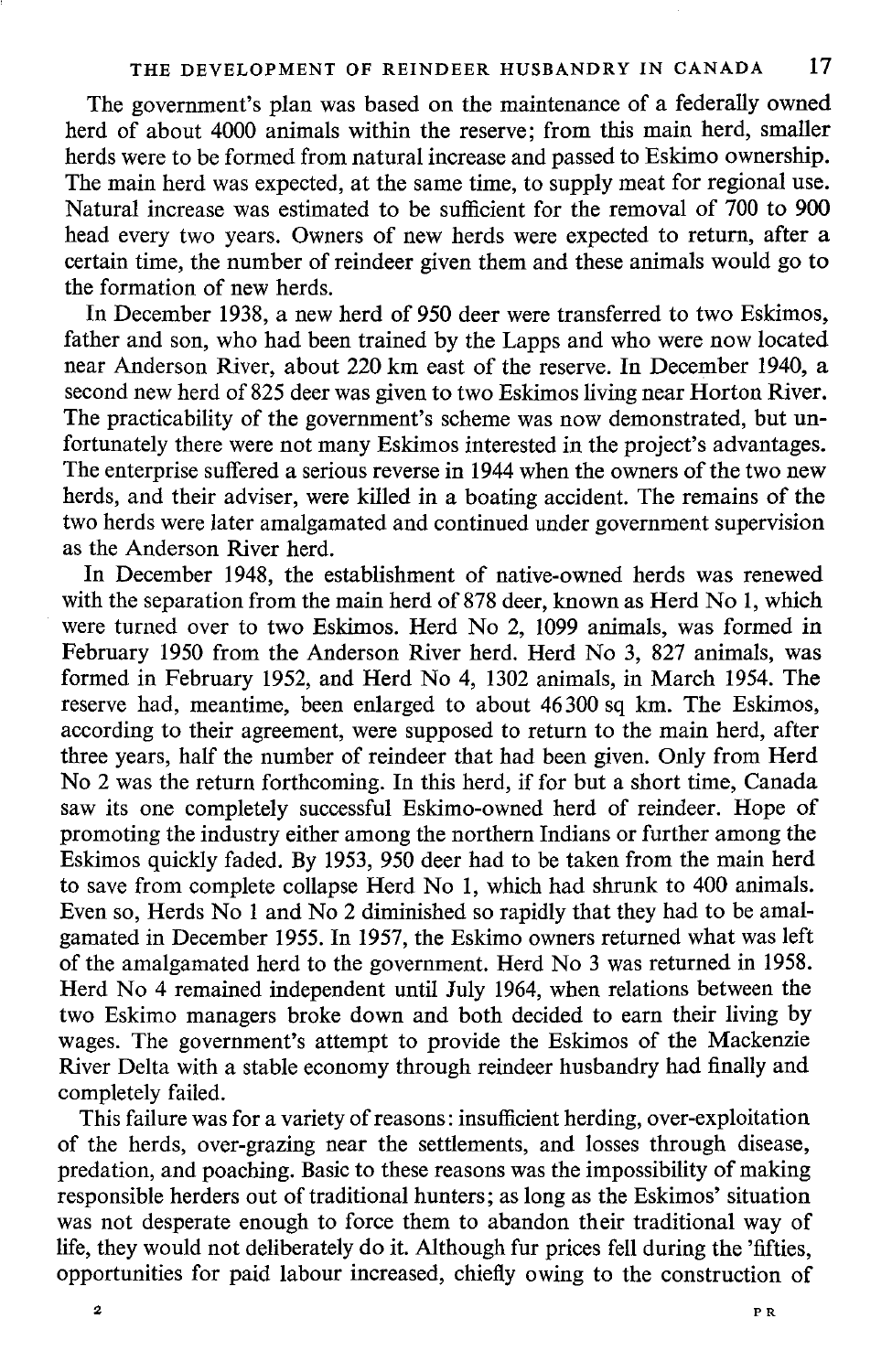The government's plan was based on the maintenance of a federally owned herd of about 4000 animals within the reserve; from this main herd, smaller herds were to be formed from natural increase and passed to Eskimo ownership. The main herd was expected, at the same time, to supply meat for regional use. Natural increase was estimated to be sufficient for the removal of 700 to 900 head every two years. Owners of new herds were expected to return, after a certain time, the number of reindeer given them and these animals would go to the formation of new herds.

In December 1938, a new herd of 950 deer were transferred to two Eskimos, father and son, who had been trained by the Lapps and who were now located near Anderson River, about 220 km east of the reserve. In December 1940, a second new herd of 825 deer was given to two Eskimos living near Horton River. The practicability of the government's scheme was now demonstrated, but unfortunately there were not many Eskimos interested in the project's advantages. The enterprise suffered a serious reverse in 1944 when the owners of the two new herds, and their adviser, were killed in a boating accident. The remains of the two herds were later amalgamated and continued under government supervision as the Anderson River herd.

In December 1948, the establishment of native-owned herds was renewed with the separation from the main herd of 878 deer, known as Herd No 1, which were turned over to two Eskimos. Herd No 2, 1099 animals, was formed in February 1950 from the Anderson River herd. Herd No 3, 827 animals, was formed in February 1952, and Herd No 4, 1302 animals, in March 1954. The reserve had, meantime, been enlarged to about 46300 sq km. The Eskimos, according to their agreement, were supposed to return to the main herd, after three years, half the number of reindeer that had been given. Only from Herd No 2 was the return forthcoming. In this herd, if for but a short time, Canada saw its one completely successful Eskimo-owned herd of reindeer. Hope of promoting the industry either among the northern Indians or further among the Eskimos quickly faded. By 1953, 950 deer had to be taken from the main herd to save from complete collapse Herd No 1, which had shrunk to 400 animals. Even so, Herds No 1 and No 2 diminished so rapidly that they had to be amalgamated in December 1955. In 1957, the Eskimo owners returned what was left of the amalgamated herd to the government. Herd No 3 was returned in 1958. Herd No 4 remained independent until July 1964, when relations between the two Eskimo managers broke down and both decided to earn their living by wages. The government's attempt to provide the Eskimos of the Mackenzie River Delta with a stable economy through reindeer husbandry had finally and completely failed.

This failure was for a variety of reasons: insufficient herding, over-exploitation of the herds, over-grazing near the settlements, and losses through disease, predation, and poaching. Basic to these reasons was the impossibility of making responsible herders out of traditional hunters; as long as the Eskimos' situation was not desperate enough to force them to abandon their traditional way of life, they would not deliberately do it. Although fur prices fell during the 'fifties, opportunities for paid labour increased, chiefly owing to the construction of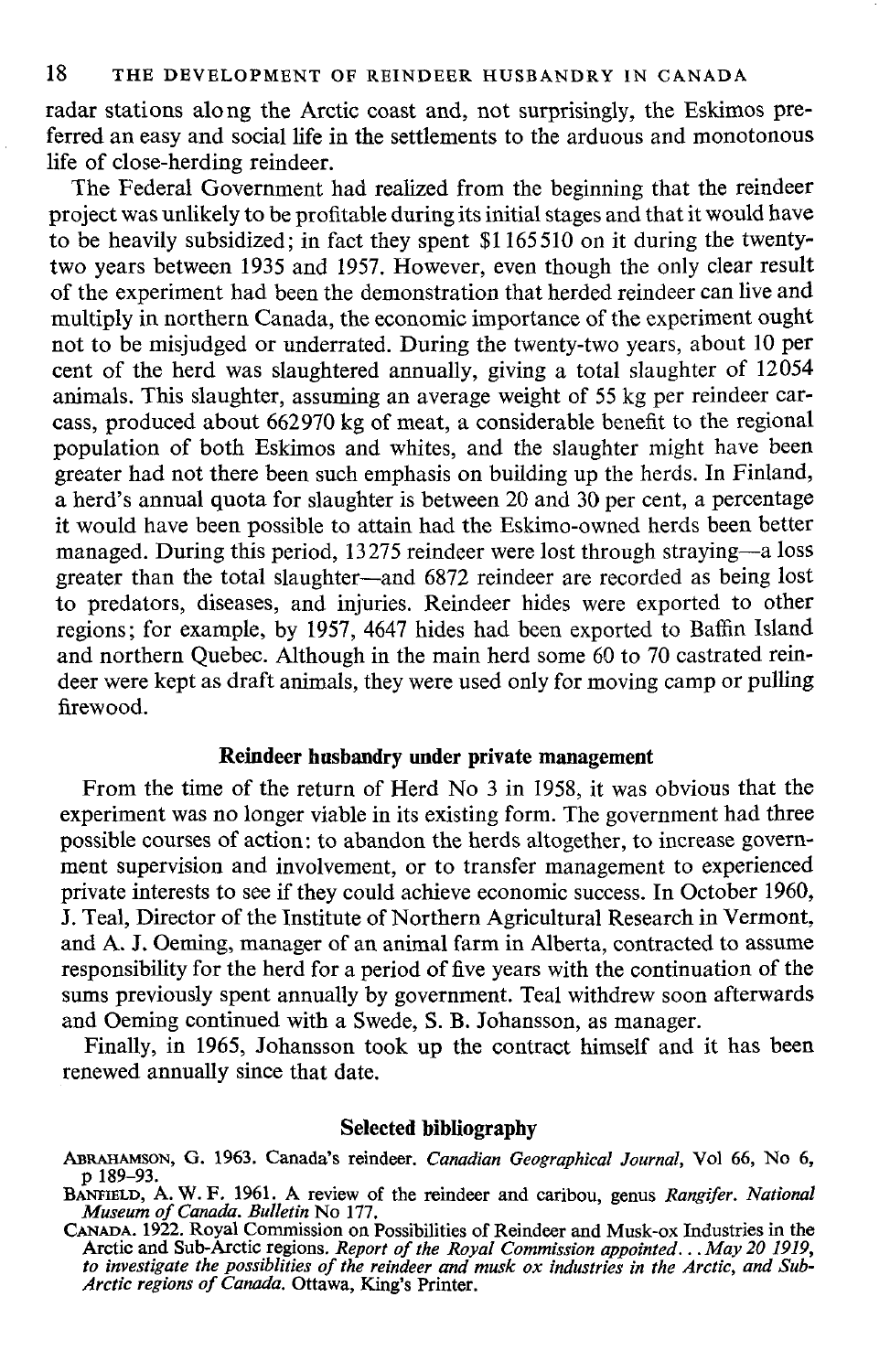radar stations along the Arctic coast and, not surprisingly, the Eskimos preferred an easy and social life in the settlements to the arduous and monotonous life of c1ose-herding reindeer.

The Federal Government had realized from the beginning that the reindeer project was unlikely to be profitable during its initial stages and that it would have to be heavily subsidized; in fact they spent \$1165510 on it during the twentytwo years between 1935 and 1957. However, even though the only dear result of the experiment had been the demonstration that herded reindeer can live and multiply in northern Canada, the economic importance of the experiment ought not to be misjudged or underrated. During the twenty-two years, about 10 per cent of the herd was slaughtered annually, giving a total slaughter of 12054 animals. This slaughter, assuming an average weight of 55 kg per reindeer carcass, produced about 662970 kg of meat, a considerable benefit to the regional population of both Eskimos and whites, and the slaughter might have been greater had not there been such emphasis on building up the herds. In Finland, a herd's annual quota for slaughter is between 20 and 30 per cent, a percentage it would have been possible to attain had the Eskimo-owned herds been better managed. During this period, 13275 reindeer were lost through straying—a loss greater than the total slaughter-and 6872 reindeer are recorded as being lost to predators, diseases, and injuries. Reindeer hides were exported to other regions; for example, by 1957, 4647 hides had been exported to Baffin Island and northern Quebec. Although in the main herd some 60 to 70 castrated reindeer were kept as draft animals, they were used only for moving camp or pulling firewood.

### **Reindeer husbandry under private management**

From the time of the return of Herd No 3 in 1958, it was obvious that the experiment was no longer viable in its existing form. The government had three possible courses of action: to abandon the herds altogether, to increase government supervision and involvement, or to transfer management to experienced private interests to see if they could achieve economic success. In October 1960, J. Teal, Director of the Institute of Northern Agricultural Research in Vermont, and A. J. Oeming, manager of an animal farm in Alberta, contracted to assume responsibility for the herd for a period of five years with the continuation of the sums previously spent annually by government. Teal withdrew soon afterwards and Oeming continued with a Swede, S. B. Johansson, as manager.

Finally, in 1965, Johansson took up the contract himself and it has been renewed annually since that date.

#### **Selected bibliography**

MRAHAMSON, G. 1963. Canada's reindeer. *Canadian Geographical Journal,* Vol 66, No 6, P 189-93.

BANFIELD, A. W. F. 1961. A review of the reindeer and caribou, genus *Rangi/er. National Museum o/Canada. Bulletin* No 177.

CANADA. 1922. Royal Commission on Possibilities of Reindeer and Musk-ox Industries in the Arctic and Sub-Arctie regions. *Report 0/ the Royal Commission appointed .* .. *May 20 1919, to investigate the possiblities 0/ the reindeer and musk ox industries in the Aretie, and Sub-*Arctic regions of Canada. Ottawa, King's Printer.